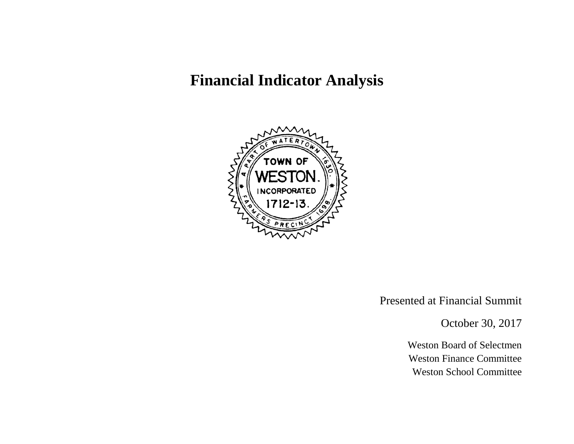# **Financial Indicator Analysis**



Presented at Financial Summit

October 30, 2017

Weston Board of Selectmen Weston Finance Committee Weston School Committee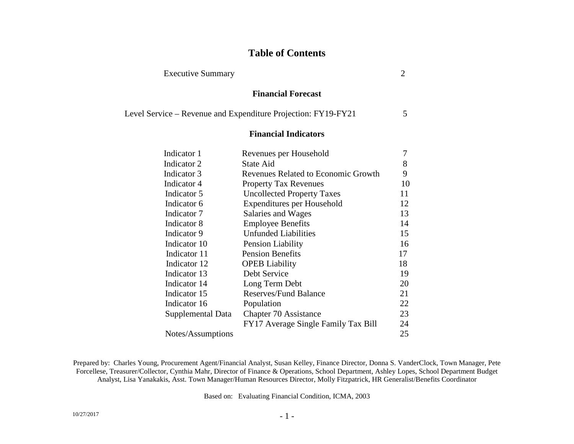# **Table of Contents**

Executive Summary 2

| $5\overline{)}$ |
|-----------------|
|                 |
| $\tau$          |
| 8               |
| 9               |
| 10              |
| 11              |
| 12              |
| 13              |
| 14              |
| 15              |
| 16              |
| 17              |
| 18              |
| 19              |
| 20              |
| 21              |
| 22              |
| 23              |
| 24              |
| 25              |
|                 |

Prepared by: Charles Young, Procurement Agent/Financial Analyst, Susan Kelley, Finance Director, Donna S. VanderClock, Town Manager, Pete Forcellese, Treasurer/Collector, Cynthia Mahr, Director of Finance & Operations, School Department, Ashley Lopes, School Department Budget Analyst, Lisa Yanakakis, Asst. Town Manager/Human Resources Director, Molly Fitzpatrick, HR Generalist/Benefits Coordinator

Based on: Evaluating Financial Condition, ICMA, 2003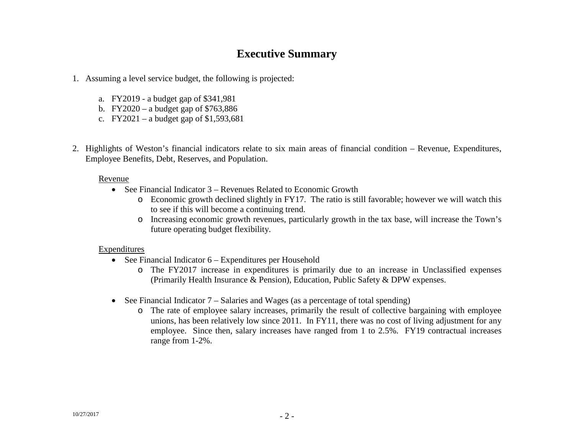# **Executive Summary**

- 1. Assuming a level service budget, the following is projected:
	- a. FY2019 a budget gap of \$341,981
	- b. FY2020 a budget gap of \$763,886
	- c. FY2021 a budget gap of  $$1,593,681$
- 2. Highlights of Weston's financial indicators relate to six main areas of financial condition Revenue, Expenditures, Employee Benefits, Debt, Reserves, and Population.

#### Revenue

- See Financial Indicator 3 Revenues Related to Economic Growth
	- o Economic growth declined slightly in FY17. The ratio is still favorable; however we will watch this to see if this will become a continuing trend.
	- o Increasing economic growth revenues, particularly growth in the tax base, will increase the Town's future operating budget flexibility.

#### Expenditures

- See Financial Indicator 6 Expenditures per Household
	- o The FY2017 increase in expenditures is primarily due to an increase in Unclassified expenses (Primarily Health Insurance & Pension), Education, Public Safety & DPW expenses.
- See Financial Indicator 7 Salaries and Wages (as a percentage of total spending)
	- o The rate of employee salary increases, primarily the result of collective bargaining with employee unions, has been relatively low since 2011. In FY11, there was no cost of living adjustment for any employee. Since then, salary increases have ranged from 1 to 2.5%. FY19 contractual increases range from 1-2%.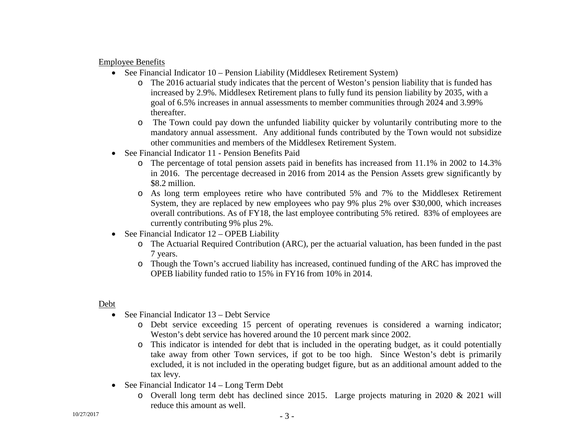Employee Benefits

- See Financial Indicator 10 Pension Liability (Middlesex Retirement System)
	- o The 2016 actuarial study indicates that the percent of Weston's pension liability that is funded has increased by 2.9%. Middlesex Retirement plans to fully fund its pension liability by 2035, with a goal of 6.5% increases in annual assessments to member communities through 2024 and 3.99% thereafter.
	- o The Town could pay down the unfunded liability quicker by voluntarily contributing more to the mandatory annual assessment. Any additional funds contributed by the Town would not subsidize other communities and members of the Middlesex Retirement System.
- See Financial Indicator 11 Pension Benefits Paid
	- o The percentage of total pension assets paid in benefits has increased from 11.1% in 2002 to 14.3% in 2016. The percentage decreased in 2016 from 2014 as the Pension Assets grew significantly by \$8.2 million.
	- o As long term employees retire who have contributed 5% and 7% to the Middlesex Retirement System, they are replaced by new employees who pay 9% plus 2% over \$30,000, which increases overall contributions. As of FY18, the last employee contributing 5% retired. 83% of employees are currently contributing 9% plus 2%.
- See Financial Indicator 12 OPEB Liability
	- o The Actuarial Required Contribution (ARC), per the actuarial valuation, has been funded in the past 7 years.
	- o Though the Town's accrued liability has increased, continued funding of the ARC has improved the OPEB liability funded ratio to 15% in FY16 from 10% in 2014.

# Debt

- See Financial Indicator 13 Debt Service
	- o Debt service exceeding 15 percent of operating revenues is considered a warning indicator; Weston's debt service has hovered around the 10 percent mark since 2002.
	- o This indicator is intended for debt that is included in the operating budget, as it could potentially take away from other Town services, if got to be too high. Since Weston's debt is primarily excluded, it is not included in the operating budget figure, but as an additional amount added to the tax levy.
- See Financial Indicator 14 Long Term Debt
	- o Overall long term debt has declined since 2015. Large projects maturing in 2020 & 2021 will reduce this amount as well.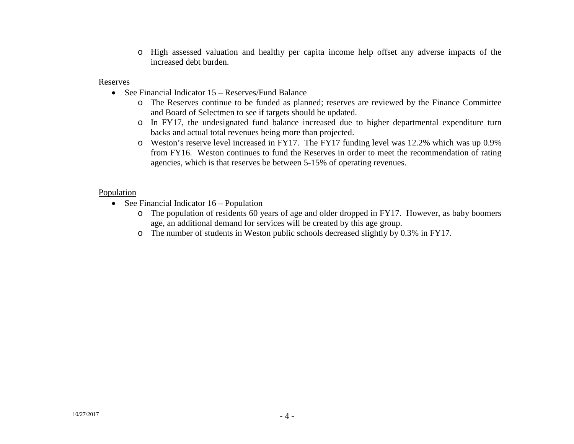o High assessed valuation and healthy per capita income help offset any adverse impacts of the increased debt burden.

#### Reserves

- See Financial Indicator 15 Reserves/Fund Balance
	- o The Reserves continue to be funded as planned; reserves are reviewed by the Finance Committee and Board of Selectmen to see if targets should be updated.
	- o In FY17, the undesignated fund balance increased due to higher departmental expenditure turn backs and actual total revenues being more than projected.
	- o Weston's reserve level increased in FY17. The FY17 funding level was 12.2% which was up 0.9% from FY16. Weston continues to fund the Reserves in order to meet the recommendation of rating agencies, which is that reserves be between 5-15% of operating revenues.

#### **Population**

- See Financial Indicator 16 Population
	- o The population of residents 60 years of age and older dropped in FY17. However, as baby boomers age, an additional demand for services will be created by this age group.
	- o The number of students in Weston public schools decreased slightly by 0.3% in FY17.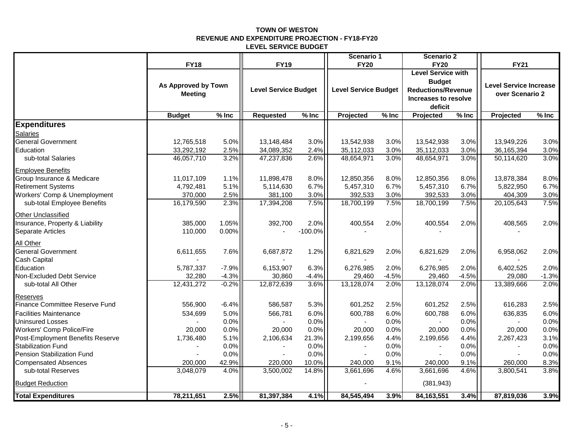#### **TOWN OF WESTON REVENUE AND EXPENDITURE PROJECTION - FY18-FY20 LEVEL SERVICE BUDGET**

|                                  |                     |         |                             |           | Scenario 1                  |         | Scenario 2                               |         |                               |         |
|----------------------------------|---------------------|---------|-----------------------------|-----------|-----------------------------|---------|------------------------------------------|---------|-------------------------------|---------|
|                                  | <b>FY18</b>         |         | <b>FY19</b>                 |           | <b>FY20</b>                 |         | <b>FY20</b><br><b>Level Service with</b> |         | <b>FY21</b>                   |         |
|                                  |                     |         |                             |           |                             |         | <b>Budget</b>                            |         |                               |         |
|                                  | As Approved by Town |         | <b>Level Service Budget</b> |           | <b>Level Service Budget</b> |         | <b>Reductions/Revenue</b>                |         | <b>Level Service Increase</b> |         |
|                                  | <b>Meeting</b>      |         |                             |           |                             |         | Increases to resolve                     |         | over Scenario 2               |         |
|                                  |                     |         |                             |           |                             |         | deficit                                  |         |                               |         |
|                                  | <b>Budget</b>       | $%$ Inc | <b>Requested</b>            | $%$ Inc   | Projected                   | $%$ Inc | Projected                                | $%$ Inc | Projected                     | $%$ Inc |
| <b>Expenditures</b>              |                     |         |                             |           |                             |         |                                          |         |                               |         |
| Salaries                         |                     |         |                             |           |                             |         |                                          |         |                               |         |
| <b>General Government</b>        | 12,765,518          | 5.0%    | 13,148,484                  | 3.0%      | 13,542,938                  | 3.0%    | 13,542,938                               | 3.0%    | 13,949,226                    | 3.0%    |
| Education                        | 33,292,192          | 2.5%    | 34,089,352                  | 2.4%      | 35,112,033                  | 3.0%    | 35,112,033                               | 3.0%    | 36,165,394                    | 3.0%    |
| sub-total Salaries               | 46,057,710          | 3.2%    | 47,237,836                  | 2.6%      | 48,654,971                  | 3.0%    | 48,654,971                               | 3.0%    | 50,114,620                    | 3.0%    |
| Employee Benefits                |                     |         |                             |           |                             |         |                                          |         |                               |         |
| Group Insurance & Medicare       | 11,017,109          | 1.1%    | 11,898,478                  | 8.0%      | 12,850,356                  | 8.0%    | 12,850,356                               | 8.0%    | 13,878,384                    | 8.0%    |
| <b>Retirement Systems</b>        | 4,792,481           | 5.1%    | 5,114,630                   | 6.7%      | 5,457,310                   | 6.7%    | 5,457,310                                | 6.7%    | 5,822,950                     | 6.7%    |
| Workers' Comp & Unemployment     | 370,000             | 2.5%    | 381,100                     | 3.0%      | 392,533                     | 3.0%    | 392,533                                  | 3.0%    | 404,309                       | 3.0%    |
| sub-total Employee Benefits      | 16,179,590          | 2.3%    | 17,394,208                  | 7.5%      | 18,700,199                  | 7.5%    | 18,700,199                               | 7.5%    | 20,105,643                    | 7.5%    |
| Other Unclassified               |                     |         |                             |           |                             |         |                                          |         |                               |         |
| Insurance, Property & Liability  | 385,000             | 1.05%   | 392,700                     | 2.0%      | 400,554                     | 2.0%    | 400,554                                  | 2.0%    | 408,565                       | 2.0%    |
| Separate Articles                | 110,000             | 0.00%   |                             | $-100.0%$ |                             |         |                                          |         |                               |         |
| All Other                        |                     |         |                             |           |                             |         |                                          |         |                               |         |
| General Government               | 6,611,655           | 7.6%    | 6,687,872                   | 1.2%      | 6,821,629                   | 2.0%    | 6,821,629                                | 2.0%    | 6,958,062                     | 2.0%    |
| Cash Capital                     |                     |         |                             |           |                             |         |                                          |         |                               |         |
| Education                        | 5,787,337           | $-7.9%$ | 6,153,907                   | 6.3%      | 6,276,985                   | 2.0%    | 6,276,985                                | 2.0%    | 6,402,525                     | 2.0%    |
| Non-Excluded Debt Service        | 32,280              | $-4.3%$ | 30,860                      | $-4.4%$   | 29,460                      | $-4.5%$ | 29,460                                   | $-4.5%$ | 29,080                        | $-1.3%$ |
| sub-total All Other              | 12,431,272          | $-0.2%$ | 12,872,639                  | 3.6%      | 13,128,074                  | 2.0%    | 13,128,074                               | 2.0%    | 13,389,666                    | 2.0%    |
| Reserves                         |                     |         |                             |           |                             |         |                                          |         |                               |         |
| Finance Committee Reserve Fund   | 556,900             | $-6.4%$ | 586,587                     | 5.3%      | 601,252                     | 2.5%    | 601,252                                  | 2.5%    | 616,283                       | 2.5%    |
| <b>Facilities Maintenance</b>    | 534,699             | 5.0%    | 566,781                     | 6.0%      | 600,788                     | 6.0%    | 600,788                                  | 6.0%    | 636,835                       | 6.0%    |
| <b>Uninsured Losses</b>          |                     | 0.0%    |                             | 0.0%      |                             | 0.0%    |                                          | 0.0%    | $\sim$                        | 0.0%    |
| <b>Workers' Comp Police/Fire</b> | 20,000              | 0.0%    | 20,000                      | 0.0%      | 20,000                      | 0.0%    | 20,000                                   | 0.0%    | 20,000                        | 0.0%    |
| Post-Employment Benefits Reserve | 1,736,480           | 5.1%    | 2,106,634                   | 21.3%     | 2,199,656                   | 4.4%    | 2,199,656                                | 4.4%    | 2,267,423                     | 3.1%    |
| <b>Stabilization Fund</b>        |                     | 0.0%    |                             | 0.0%      |                             | 0.0%    |                                          | 0.0%    |                               | 0.0%    |
| Pension Stabilization Fund       | $\sim$              | 0.0%    | $\blacksquare$              | 0.0%      | $\blacksquare$              | 0.0%    |                                          | 0.0%    |                               | 0.0%    |
| <b>Compensated Absences</b>      | 200,000             | 42.9%   | 220,000                     | 10.0%     | 240,000                     | 9.1%    | 240,000                                  | 9.1%    | 260,000                       | 8.3%    |
| sub-total Reserves               | 3,048,079           | 4.0%    | 3,500,002                   | 14.8%     | 3,661,696                   | 4.6%    | 3,661,696                                | 4.6%    | 3,800,541                     | 3.8%    |
| <b>Budget Reduction</b>          |                     |         |                             |           |                             |         | (381, 943)                               |         |                               |         |
| <b>Total Expenditures</b>        | 78,211,651          | 2.5%    | 81,397,384                  | 4.1%      | 84,545,494                  | 3.9%    | 84, 163, 551                             | 3.4%    | 87,819,036                    | 3.9%    |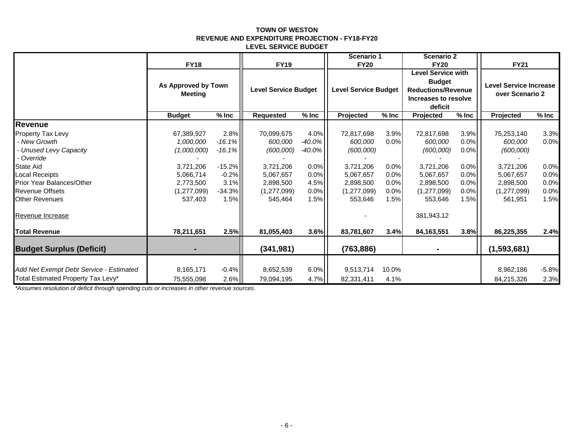#### **TOWN OF WESTON REVENUE AND EXPENDITURE PROJECTION - FY18-FY20 LEVEL SERVICE BUDGET**

|                                         |                                       |          |                             |           | Scenario 1                  |         | <b>Scenario 2</b>                                                                                          |         |                                                  |         |
|-----------------------------------------|---------------------------------------|----------|-----------------------------|-----------|-----------------------------|---------|------------------------------------------------------------------------------------------------------------|---------|--------------------------------------------------|---------|
|                                         | <b>FY18</b>                           |          | <b>FY19</b>                 |           | <b>FY20</b>                 |         | <b>FY20</b>                                                                                                |         | <b>FY21</b>                                      |         |
|                                         | As Approved by Town<br><b>Meeting</b> |          | <b>Level Service Budget</b> |           | <b>Level Service Budget</b> |         | <b>Level Service with</b><br><b>Budget</b><br><b>Reductions/Revenue</b><br>Increases to resolve<br>deficit |         | <b>Level Service Increase</b><br>over Scenario 2 |         |
|                                         | <b>Budget</b>                         | $%$ Inc  | <b>Requested</b>            | $%$ Inc   | Projected                   | $%$ Inc | Projected                                                                                                  | $%$ Inc | Projected                                        | $%$ Inc |
| Revenue                                 |                                       |          |                             |           |                             |         |                                                                                                            |         |                                                  |         |
| <b>Property Tax Levy</b>                | 67,389,927                            | $2.8\%$  | 70,099,675                  | 4.0%      | 72,817,698                  | 3.9%    | 72,817,698                                                                                                 | 3.9%    | 75,253,140                                       | 3.3%    |
| - New Growth                            | 1,000,000                             | $-16.1%$ | 600,000                     | $-40.0\%$ | 600,000                     | 0.0%    | 600,000                                                                                                    | 0.0%    | 600,000                                          | 0.0%    |
| - Unused Levy Capacity                  | (1,000,000)                           | $-16.1%$ | (600,000)                   | $-40.0\%$ | (600,000)                   |         | (600,000)                                                                                                  | 0.0%    | (600,000)                                        |         |
| - Override                              |                                       |          |                             |           |                             |         |                                                                                                            |         |                                                  |         |
| <b>State Aid</b>                        | 3,721,206                             | $-15.2%$ | 3,721,206                   | $0.0\%$   | 3,721,206                   | 0.0%    | 3,721,206                                                                                                  | 0.0%    | 3,721,206                                        | 0.0%    |
| <b>Local Receipts</b>                   | 5,066,714                             | $-0.2%$  | 5,067,657                   | $0.0\%$   | 5,067,657                   | 0.0%    | 5,067,657                                                                                                  | 0.0%    | 5,067,657                                        | 0.0%    |
| <b>Prior Year Balances/Other</b>        | 2,773,500                             | $3.1\%$  | 2,898,500                   | 4.5%      | 2,898,500                   | 0.0%    | 2,898,500                                                                                                  | $0.0\%$ | 2,898,500                                        | 0.0%    |
| <b>Revenue Offsets</b>                  | (1,277,099)                           | $-34.3%$ | (1,277,099)                 | 0.0%      | (1,277,099)                 | 0.0%    | (1,277,099)                                                                                                | $0.0\%$ | (1,277,099)                                      | 0.0%    |
| <b>Other Revenues</b>                   | 537,403                               | 1.5%     | 545,464                     | 1.5%      | 553,646                     | 1.5%    | 553,646                                                                                                    | 1.5%    | 561,951                                          | 1.5%    |
| Revenue Increase                        |                                       |          |                             |           |                             |         | 381,943.12                                                                                                 |         |                                                  |         |
| <b>Total Revenue</b>                    | 78,211,651                            | 2.5%     | 81,055,403                  | 3.6%      | 83,781,607                  | 3.4%    | 84,163,551                                                                                                 | 3.8%    | 86,225,355                                       | 2.4%    |
| <b>Budget Surplus (Deficit)</b>         |                                       |          | (341, 981)                  |           | (763, 886)                  |         |                                                                                                            |         | (1,593,681)                                      |         |
|                                         |                                       |          |                             |           |                             |         |                                                                                                            |         |                                                  |         |
| Add Net Exempt Debt Service - Estimated | 8,165,171                             | $-0.4%$  | 8,652,539                   | 6.0%      | 9,513,714                   | 10.0%   |                                                                                                            |         | 8,962,186                                        | $-5.8%$ |
| Total Estimated Property Tax Levy*      | 75,555,098                            | $2.6\%$  | 79,094,195                  | 4.7%      | 82,331,411                  | 4.1%    |                                                                                                            |         | 84,215,326                                       | 2.3%    |

*\*Assumes resolution of deficit through spending cuts or increases in other revenue sources.*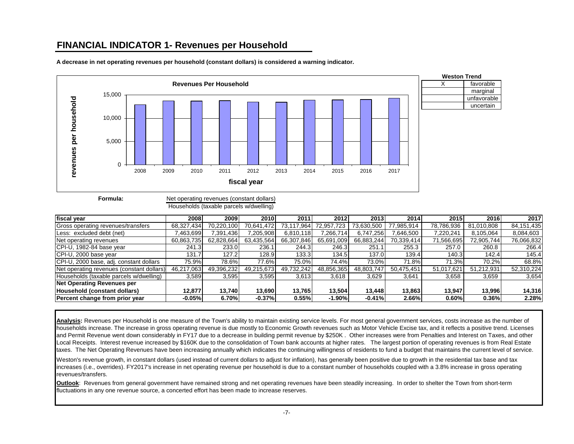# **FINANCIAL INDICATOR 1- Revenues per Household**



**A decrease in net operating revenues per household (constant dollars) is considered a warning indicator.**



**Formula:**

Net operating revenues (constant dollars)

Households (taxable parcels w/dwelling)

| fiscal year                               | 2008       | 2009       | 2010       | 2011       | 2012       | 2013       | 2014       | 2015       | 2016       | 2017         |
|-------------------------------------------|------------|------------|------------|------------|------------|------------|------------|------------|------------|--------------|
| Gross operating revenues/transfers        | 68,327,434 | 70.220.100 | 70.641.472 | 73,117,964 | 72.957.723 | 73.630.500 | 77.985.914 | 78,786,936 | 81,010,808 | 84, 151, 435 |
| Less: excluded debt (net)                 | 463,699    | 7.391.436  | 7.205.908  | 6,810,118  | 7,266,714  | 6.747.256  | 7,646,500  | 7.220.241  | 8.105.064  | 8,084,603    |
| Net operating revenues                    | 60,863,735 | 62.828.664 | 63.435.564 | 66,307,846 | 65.691.009 | 66,883,244 | 70,339,414 | 71,566,695 | 72,905,744 | 76,066,832   |
| CPI-U, 1982-84 base year                  | 241.3      | 233.0      | 236.1      | 244.3      | 246.3      | 251.1      | 255.3      | 257.0      | 260.8      | 266.4        |
| CPI-U, 2000 base year                     | 131.7      | 127.2      | 128.9      | 133.3      | 134.5      | 137.0      | 139.4      | 140.3      | 142.4      | 145.4        |
| CPI-U, 2000 base, adj. constant dollars   | 75.9%      | 78.6%l     | 77.6%      | 75.0%      | 74.4%      | 73.0%      | 71.8%      | 71.3%      | 70.2%      | 68.8%        |
| Net operating revenues (constant dollars) | 46,217,063 | 49,396,232 | 49,215,673 | 49,732,242 | 48,856,365 | 48.803.747 | 50.475.451 | 51.017.621 | 51,212,931 | 52,310,224   |
| Households (taxable parcels w/dwelling)   | 3,589      | 3,595      | 3,595      | 3,613      | 3,618      | 3,629      | 3,641      | 3,658      | 3,659      | 3,654        |
| <b>Net Operating Revenues per</b>         |            |            |            |            |            |            |            |            |            |              |
| Household (constant dollars)              | 12.877     | 13.740     | 13.690     | 13.765     | 13.504     | 13.448     | 13.863     | 13.947     | 13.996     | 14,316       |
| Percent change from prior year            | $-0.05%$   | 6.70%      | $-0.37%$   | 0.55%      | $-1.90\%$  | $-0.41%$   | 2.66%      | 0.60%      | 0.36%      | 2.28%        |

Analysis: Revenues per Household is one measure of the Town's ability to maintain existing service levels. For most general government services, costs increase as the number of households increase. The increase in gross operating revenue is due mostly to Economic Growth revenues such as Motor Vehicle Excise tax, and it reflects a positive trend. Licenses and Permit Revenue went down considerably in FY17 due to a decrease in building permit revenue by \$250K . Other increases were from Penalties and Interest on Taxes, and other Local Receipts. Interest revenue increased by \$160K due to the consolidation of Town bank accounts at higher rates. The largest portion of operating revenues is from Real Estate taxes. The Net Operating Revenues have been increasing annually which indicates the continuing willingness of residents to fund a budget that maintains the current level of service.

Weston's revenue growth, in constant dollars (used instead of current dollars to adjust for inflation), has generally been positive due to growth in the residential tax base and tax increases (i.e., overrides). FY2017's increase in net operating revenue per household is due to a constant number of households coupled with a 3.8% increase in gross operating revenues/transfers.

**Outlook**: Revenues from general government have remained strong and net operating revenues have been steadily increasing. In order to shelter the Town from short-term fluctuations in any one revenue source, a concerted effort has been made to increase reserves.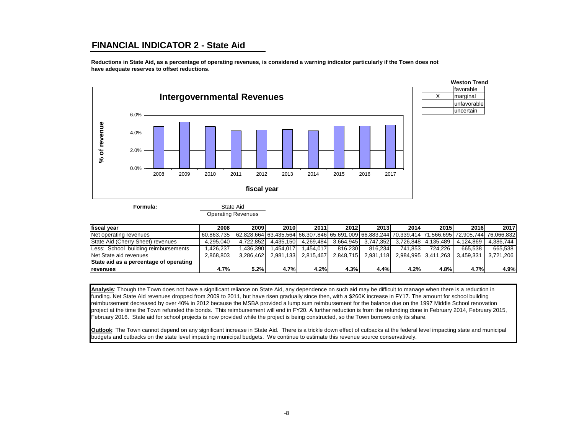## **FINANCIAL INDICATOR 2 - State Aid**

**Reductions in State Aid, as a percentage of operating revenues, is considered a warning indicator particularly if the Town does not have adequate reserves to offset reductions.**



**Formula:**

State Aid

Operating Revenues

| <b>Ifiscal</b> vear                    | 2008       | 2009l     | 2010      | 2011      | 2012      | 2013      | 2014     | 2015                | 2016                                                                                                       | 2017      |
|----------------------------------------|------------|-----------|-----------|-----------|-----------|-----------|----------|---------------------|------------------------------------------------------------------------------------------------------------|-----------|
| Net operating revenues                 | 60.863.735 |           |           |           |           |           |          |                     | 62.828.664  63.435.564  66.307.846  65.691.009  66.883.244  70.339.414  71.566.695  72.905.744  76.066.832 |           |
| State Aid (Cherry Sheet) revenues      | 4.295.040  | 4.722.852 | 4.435.150 | 4.269.484 | 3.664.945 | 3.747.352 |          | 3.726.848 4.135.489 | 4.124.869                                                                                                  | 4.386.744 |
| Less: School building reimbursements   | .426.237   | .436.390  | .454.017  | .454.017  | 816.230   | 816.234   | 741.8531 | 724.226             | 665.538                                                                                                    | 665.538   |
| Net State aid revenues                 | 2.868.803  | 3.286.462 | 2.981.133 | 2.815.467 | 2.848.715 | 2.931.118 |          | 2.984.995 3.411.263 | 3.459.331                                                                                                  | 3.721.206 |
| State aid as a percentage of operating |            |           |           |           |           |           |          |                     |                                                                                                            |           |
| <b>Irevenues</b>                       | 4.7%       | 5.2%      | 4.7%      | 4.2%      | 4.3%      | 4.4%      | 4.2%     | 4.8%                | 4.7%                                                                                                       | 4.9%      |

**Analysis**: Though the Town does not have a significant reliance on State Aid, any dependence on such aid may be difficult to manage when there is a reduction in funding. Net State Aid revenues dropped from 2009 to 2011, but have risen gradually since then, with a \$260K increase in FY17. The amount for school building reimbursement decreased by over 40% in 2012 because the MSBA provided a lump sum reimbursement for the balance due on the 1997 Middle School renovation project at the time the Town refunded the bonds. This reimbursement will end in FY20. A further reduction is from the refunding done in February 2014, February 2015, February 2016. State aid for school projects is now provided while the project is being constructed, so the Town borrows only its share.

**Outlook**: The Town cannot depend on any significant increase in State Aid. There is a trickle down effect of cutbacks at the federal level impacting state and municipal budgets and cutbacks on the state level impacting municipal budgets. We continue to estimate this revenue source conservatively.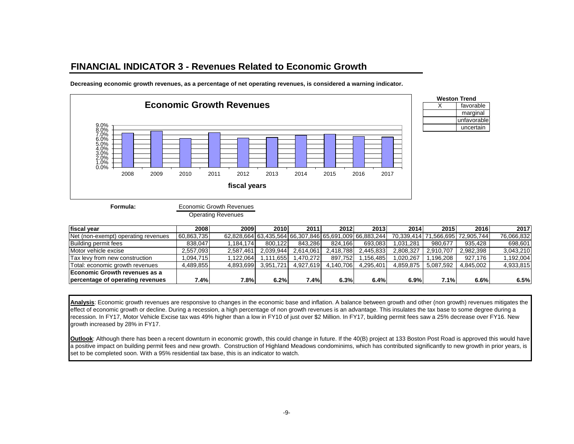# **FINANCIAL INDICATOR 3 - Revenues Related to Economic Growth**



**Decreasing economic growth revenues, as a percentage of net operating revenues, is considered a warning indicator.**



**Formula:**

Economic Growth Revenues

Operating Revenues

| fiscal vear                         | 2008       | 2009      | 2010      | 2011      | 2012      | 2013                                                   | 2014          | 2015      | 2016       | 2017       |
|-------------------------------------|------------|-----------|-----------|-----------|-----------|--------------------------------------------------------|---------------|-----------|------------|------------|
| Net (non-exempt) operating revenues | 60,863,735 |           |           |           |           | 62,828,664 63,435,564 66,307,846 65,691,009 66,883,244 | 70.339.414 71 | .566.695  | 72.905.744 | 76,066,832 |
| Building permit fees                | 838,047    | 1.184.174 | 800.122   | 843.286   | 824.166   | 693.083                                                | 1.031.281     | 980.677   | 935.428    | 698,601    |
| Motor vehicle excise                | 2.557.093  | 2.587.461 | 2.039.944 | 2.614.061 | 2.418.788 | 2.445.833                                              | 2.808.327     | 2.910.707 | 2,982,398  | 3.043.210  |
| Tax levy from new construction      | ,094,715   | .122.064  | 1.111.655 | .470.272  | 897.752   | 1.156.4851                                             | 1.020.267     | .196.208  | 927.176    | .192,004   |
| Total: economic growth revenues     | 4.489.855  | 4.893.699 | 3,951,721 | 4.927.619 | 4.140.706 | 4.295.401                                              | 4.859.875     | 5.087.592 | 4.845.002  | 4,933,815  |
| Economic Growth revenues as a       |            |           |           |           |           |                                                        |               |           |            |            |
| percentage of operating revenues    | 7.4%       | 7.8%      | 6.2%      | 7.4%      | 6.3%      | 6.4%                                                   | 6.9%          | 7.1%      | 6.6%       | 6.5%       |

**Analysis**: Economic growth revenues are responsive to changes in the economic base and inflation. A balance between growth and other (non growth) revenues mitigates the effect of economic growth or decline. During a recession, a high percentage of non growth revenues is an advantage. This insulates the tax base to some degree during a recession. In FY17, Motor Vehicle Excise tax was 49% higher than a low in FY10 of just over \$2 Million. In FY17, building permit fees saw a 25% decrease over FY16. New growth increased by 28% in FY17.

**Outlook:** Although there has been a recent downturn in economic growth, this could change in future. If the 40(B) project at 133 Boston Post Road is approved this would have a positive impact on building permit fees and new growth. Construction of Highland Meadows condominims, which has contributed significantly to new growth in prior years, is set to be completed soon. With a 95% residential tax base, this is an indicator to watch.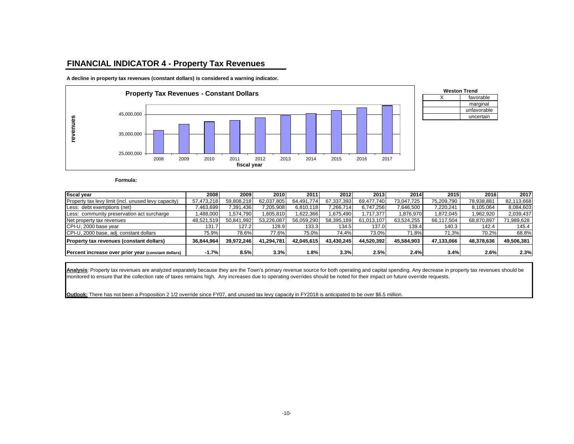## **FINANCIAL INDICATOR 4 - Property Tax Revenues**

**A decline in property tax revenues (constant dollars) is considered a warning indicator.**





**Formula:**

| fiscal year                                          | 2008       | 2009       | 2010       | 2011       | 2012       | 2013       | 2014       | 2015       | 2016       | 2017       |
|------------------------------------------------------|------------|------------|------------|------------|------------|------------|------------|------------|------------|------------|
| Property tax levy limit (incl. unused levy capacity) | 57,473,218 | 59.808.218 | 62,037,805 | 64.491.774 | 67.337.393 | 69.477.740 | 73.047.725 | 75,209,790 | 78.938.881 | 82,113,668 |
| Less: debt exemptions (net)                          | 463,699    | 391,436    | 7,205,908  | 6,810,118  | ,266,714   | 6,747,256  | 7,646,500  | 7,220,241  | 8,105,064  | 8,084,603  |
| Less: community preservation act surcharge           | 1,488,000  | .574.790   | 1,605,810  | 1,622,366  | .675.490   | 1.717.377  | 1,876,970  | 1.872.045  | 1,962,920  | 2,039,437  |
| Net property tax revenues                            | 48,521,519 | 50.841.992 | 53.226.087 | 56,059,290 | 58,395,189 | 61.013.107 | 63,524,255 | 66.117.504 | 68,870,897 | 71,989,628 |
| CPI-U, 2000 base year                                | 131.7      | 127.2      | 128.9      | 133.3      | 134.5      | 137.0      | 139.4      | 140.3      | 142.4      | 145.4      |
| CPI-U, 2000 base, adj. constant dollars              | 75.9%      | 78.6%      | 77.6%      | 75.0%      | 74.4%      | 73.0%      | 71.8%      | 71.3%      | 70.2%      | 68.8%      |
| <b>Property tax revenues (constant dollars)</b>      | 36.844.964 | 39.972.246 | 41.294.781 | 42.045.615 | 43.430.245 | 44.520.392 | 45.584.903 | 47.133.066 | 48.378.636 | 49,506,381 |
| Percent increase over prior year (constant dollars)  | $-1.7%$    | 8.5%       | 3.3%       | 1.8%       | 3.3%       | 2.5%       | 2.4%       | 3.4%       | 2.6%       | 2.3%       |

**Analysis**: Property tax revenues are analyzed separately because they are the Town's primary revenue source for both operating and capital spending. Any decrease in property tax revenues should be monitored to ensure that the collection rate of taxes remains high. Any increases due to operating overrides should be noted for their impact on future override requests.

**Outlook:** There has not been a Proposition 2 1/2 override since FY07, and unused tax levy capacity in FY2018 is anticipated to be over \$6.5 million.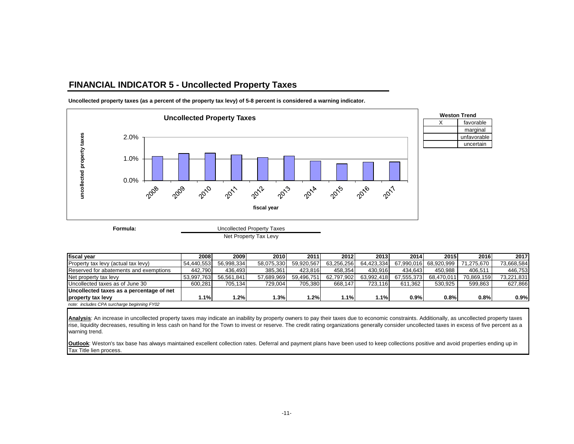## **FINANCIAL INDICATOR 5 - Uncollected Property Taxes**



**Uncollected property taxes (as a percent of the property tax levy) of 5-8 percent is considered a warning indicator.**

Net Property Tax Levy

| fiscal vear                                 | 2008       | 2009       | 2010       | 2011       | 2012       | 2013       | 2014       | 2015       | 2016       | 2017       |
|---------------------------------------------|------------|------------|------------|------------|------------|------------|------------|------------|------------|------------|
| Property tax levy (actual tax levy)         | 54.440.553 | 56.998.334 | 58.075.330 | 59.920.567 | 63.256.256 | 64.423.334 | 67.990.016 | 68.920.999 | 71.275.670 | 73.668.584 |
| Reserved for abatements and exemptions      | 442.790    | 436.493    | 385.361    | 423.816    | 458.354    | 430.916    | 434.643    | 450.988    | 406.51     | 446.753    |
| Net property tax levy                       | 53.997.763 | 56.561.841 | 57.689.969 | 59.496.751 | 62.797.902 | 63.992.418 | 67.555.373 | 68.470.011 | 70.869.159 | 73.221.831 |
| Uncollected taxes as of June 30             | 600.281    | 705.134    | 729.004    | 705.380    | 668.147    | 723.116    | 611.362    | 530.925    | 599.863    | 627.866    |
| Uncollected taxes as a percentage of net    |            |            |            |            |            |            |            |            |            |            |
| property tax levy                           | 1.1%       | 1.2%       | 1.3%       | .2%        | 1.1%       | 1.1%       | $0.9\%$    | 0.8%       | 0.8%       | 0.9%       |
| note: includes CPA surcharge beginning FY02 |            |            |            |            |            |            |            |            |            |            |

Analysis: An increase in uncollected property taxes may indicate an inability by property owners to pay their taxes due to economic constraints. Additionally, as uncollected property taxes rise, liquidity decreases, resulting in less cash on hand for the Town to invest or reserve. The credit rating organizations generally consider uncollected taxes in excess of five percent as a warning trend.

**Outlook**: Weston's tax base has always maintained excellent collection rates. Deferral and payment plans have been used to keep collections positive and avoid properties ending up in Tax Title lien process.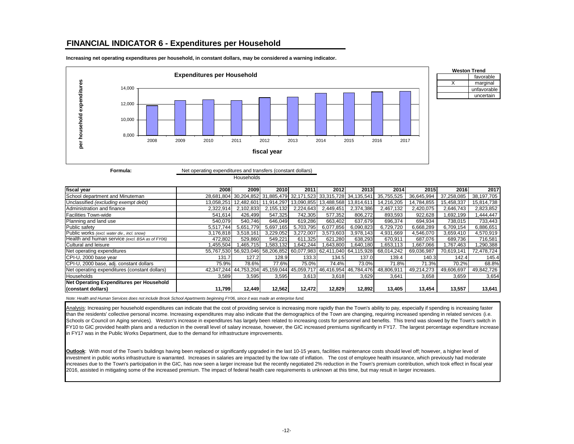#### **FINANCIAL INDICATOR 6 - Expenditures per Household**





| Weston Trend |
|--------------|
| favorable    |
| marginal     |
| unfavorable  |
| uncertain    |

| Net operating expenditures and transfers (constant dollars) |
|-------------------------------------------------------------|
| Households                                                  |

| fiscal year                                     | 2008       | 2009                                                              | 2010       | 2011                             | 2012                             | 2013                             | 2014       | 2015       | 2016       | 2017       |
|-------------------------------------------------|------------|-------------------------------------------------------------------|------------|----------------------------------|----------------------------------|----------------------------------|------------|------------|------------|------------|
| School department and Minuteman                 |            | 28,681,804 30,204,852 31,885,479 32,171,523 33,315,728 34,135,541 |            |                                  |                                  |                                  | 35,755,525 | 36,645,994 | 37,258,085 | 38,197,705 |
| Unclassified (excluding exempt debt)            | 13,058,251 | 12,482,601                                                        | 11,914,297 |                                  | 13,090,855 13,488,568 13,814,611 |                                  | 14,216,205 | 14,784,855 | 15,458,337 | 15,814,738 |
| Administration and finance                      | 2,322,914  | 2,102,833                                                         | 2,155,132  | 2,224,643                        | 2,449,451                        | 2,374,386                        | 2,467,132  | 2,420,075  | 2,646,743  | 2,823,852  |
| <b>Facilities Town-wide</b>                     | 541,614    | 426.499                                                           | 547.325    | 742,305                          | 577,352                          | 806,272                          | 893,593    | 922,628    | 1,692,199  | ,444,447   |
| Planning and land use                           | 540.079    | 540.746                                                           | 646.049    | 619.286                          | 663.402                          | 637.679                          | 696.374    | 694.934    | 738.015    | 733,443    |
| Public safety                                   | 5,517,744  | 5,651,779                                                         | 5,697,165  | 5,703,795                        | 6,077,856                        | 6,090,823                        | 6,729,720  | 6,668,289  | 6,709,154  | 6,886,651  |
| Public works (excl. water div., incl. snow)     | 3,176,818  | 3,518,161                                                         | 3,229,052  | 3,272,007                        | 3,573,603                        | 3,978,143                        | 4.931.669  | 4,546,070  | 3,659,410  | 4.570.919  |
| Health and human service (excl. BSA as of FY06) | 472,802    | 529.860                                                           | 549.221    | 611.325                          | 621.280                          | 638,293                          | 670.911    | 687.076    | 689.736    | 716,581    |
| Cultural and leisure                            | 1,455,504  | 1.465.715                                                         | 1,583,132  | ,642,244                         | .643,800                         | .640,180                         | 653,113    | 1,667,066  | 1,767,463  | ,290,388   |
| Net operating expenditures                      |            | 55,767,530 56,923,046 58,206,852                                  |            | 60,077,983 62,411,040 64,115,928 |                                  |                                  | 68.014.242 | 69.036.987 | 70.619.141 | 72,478,724 |
| CPI-U, 2000 base year                           | 131.7      | 127.2                                                             | 128.9      | 133.3                            | 134.5                            | 137.0                            | 139.4      | 140.3      | 142.4      | 145.4      |
| CPI-U, 2000 base, adj. constant dollars         | 75.9%      | 78.6%                                                             | 77.6%      | 75.0%                            | 74.4%                            | 73.0%                            | 71.8%      | 71.3%      | 70.2%      | 68.8%      |
| Net operating expenditures (constant dollars)   |            | 42,347,244 44,753,204 45,159,044                                  |            |                                  |                                  | 45,059,717 46,416,954 46,784,476 | 48,806,911 | 49,214,273 | 49,606,697 | 49,842,726 |
| Households                                      | 3,589      | 3,595                                                             | 3,595      | 3,613                            | 3,618                            | 3,629                            | 3,641      | 3,658      | 3,659      | 3,654      |
| Net Operating Expenditures per Household        |            |                                                                   |            |                                  |                                  |                                  |            |            |            |            |
| (constant dollars)                              | 11,799     | 12,449                                                            | 12,562     | 12,472                           | 12,829                           | 12,892                           | 13,405     | 13,454     | 13,557     | 13,641     |

*Note: Health and Human Services does not include Brook School Apartments beginning FY06, since it was made an enterprise fund.*

Analysis: Increasing per household expenditures can indicate that the cost of providing service is increasing more rapidly than the Town's ability to pay, especially if spending is increasing faster than the residents' collective personal income. Increasing expenditures may also indicate that the demographics of the Town are changing, requiring increased spending in related services (i.e. Schools or Council on Aging services). Weston's increase in expenditures has largely been related to increasing costs for personnel and benefits. This trend was slowed by the Town's switch in FY10 to GIC provided health plans and a reduction in the overall level of salary increase, however, the GIC increased premiums significantly in FY17. The largest percentage expenditure increase in FY17 was in the Public Works Department, due to the demand for infrastructure improvements.

**Outlook**: With most of the Town's buildings having been replaced or significantly upgraded in the last 10-15 years, facilities maintenance costs should level off; however, a higher level of investment in public works infrastructure is warranted. Increases in salaries are impacted by the low rate of inflation. The cost of employee health insurance, which previously had moderate increases due to the Town's participation in the GIC, has now seen a larger increase but the recently negotiated 2% reduction in the Town's premium contribution, which took effect in fiscal year 2016, assisted in mitigating some of the increased premium. The impact of federal health care requirements is unknown at this time, but may result in larger increases.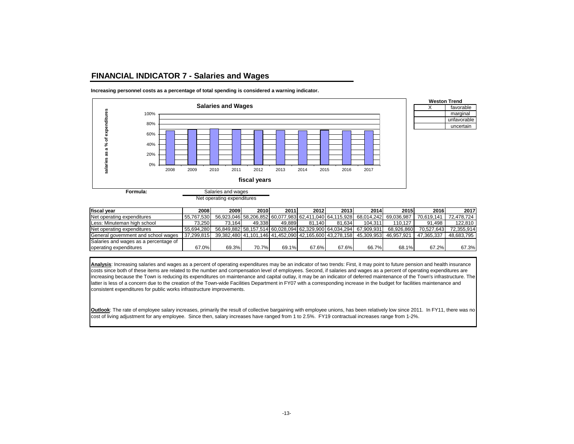#### **FINANCIAL INDICATOR 7 - Salaries and Wages**



**Increasing personnel costs as a percentage of total spending is considered a warning indicator.**



Salaries and wages

Net operating expenditures

| fiscal vear                           | 2008       | 2009   | 2010   | 2011   | 2012   | 2013   | 2014                                                                         | 2015       | 2016        | 2017       |
|---------------------------------------|------------|--------|--------|--------|--------|--------|------------------------------------------------------------------------------|------------|-------------|------------|
| Net operating expenditures            | 55.767.530 |        |        |        |        |        | 56,923,046 58,206,852 60,077,983 62,411,040 64,115,928 68,014,242 69,036,987 |            | 70.619.141  | 72.478.724 |
| Less: Minuteman high school           | 73.2501    | 73.164 | 49.338 | 49.889 | 81.140 | 81.634 | 104.311                                                                      | 110.127    | 91.498      | 122.810    |
| Net operating expenditures            | 55.694.280 |        |        |        |        |        | 56.849.882 58.157.514 60.028.094 62.329.900 64.034.294 67.909.931            | 68.926.860 | 70.527.6431 | 72.355.914 |
| General government and school wages   | 37.299.815 |        |        |        |        |        | 39,382,480 41,101,146 41,452,090 42,165,600 43,278,158 45,309,953            | 46.957.921 | 47.365.337  | 48.683.795 |
| Salaries and wages as a percentage of |            |        |        |        |        |        |                                                                              |            |             |            |
| operating expenditures                | 67.0%      | 69.3%  | 70.7%  | 69.1%  | 67.6%  | 67.6%  | 66.7%                                                                        | 68.1%      | 67.2%       | 67.3%      |

**Analysis**: Increasing salaries and wages as a percent of operating expenditures may be an indicator of two trends: First, it may point to future pension and health insurance costs since both of these items are related to the number and compensation level of employees. Second, if salaries and wages as a percent of operating expenditures are increasing because the Town is reducing its expenditures on maintenance and capital outlay, it may be an indicator of deferred maintenance of the Town's infrastructure. The latter is less of a concern due to the creation of the Town-wide Facilities Department in FY07 with a corresponding increase in the budget for facilities maintenance and consistent expenditures for public works infrastructure improvements.

**Outlook**: The rate of employee salary increases, primarily the result of collective bargaining with employee unions, has been relatively low since 2011. In FY11, there was no cost of living adjustment for any employee. Since then, salary increases have ranged from 1 to 2.5%. FY19 contractual increases range from 1-2%.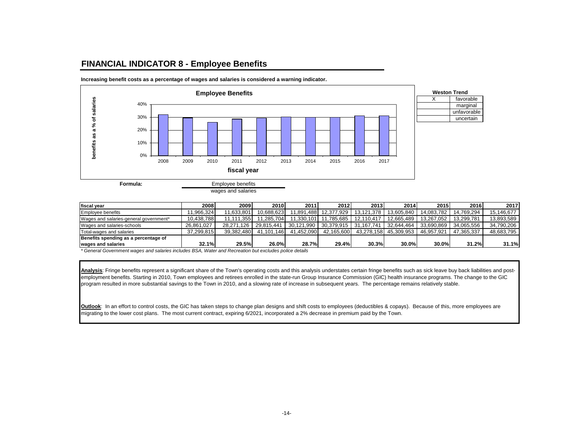## **FINANCIAL INDICATOR 8 - Employee Benefits**



**Increasing benefit costs as a percentage of wages and salaries is considered a warning indicator.**

| fiscal vear                            | 2008       | 2009       | 2010       | 2011       | 2012       | 2013       | 2014       | 2015       | 2016       | 2017       |
|----------------------------------------|------------|------------|------------|------------|------------|------------|------------|------------|------------|------------|
| Employee benefits                      | 1.966.324  | 11.633.801 | 10.688.623 | l.891.488L | 12.377.929 | 13.121.378 | 13.605.840 | 14.083.782 | 14.769.294 | 15.146.677 |
| Wages and salaries-general government* | 10.438.788 | 11.111.355 | 11.285.704 | 11.330.101 | 11.785.685 | 12.110.417 | 12.665.489 | 13.267.052 | 13.299.781 | 13.893.589 |
| Wages and salaries-schools             | 26.861.027 | 28.271.126 | 29.815.441 | 30.121.990 | 30.379.915 | 31.167.741 | 32.644.464 | 33.690.869 | 34.065.556 | 34.790.206 |
| Total-wages and salaries               | 37.299.815 | 39.382.480 | 41.101.146 | 41.452.090 | 42.165.600 | 43.278.158 | 45.309.953 | 46.957.921 | 47.365.337 | 48.683.795 |
| Benefits spending as a percentage of   |            |            |            |            |            |            |            |            |            |            |
| wages and salaries                     | 32.1%      | 29.5%      | 26.0%      | 28.7%      | 29.4%      | 30.3%      | 30.0%      | 30.0%      | 31.2%      | 31.1%      |

marginal unfavorable uncertain

*\* General Government wages and salaries includes BSA, Water and Recreation but excludes police details*

**Analysis**: Fringe benefits represent a significant share of the Town's operating costs and this analysis understates certain fringe benefits such as sick leave buy back liabilities and postemployment benefits. Starting in 2010, Town employees and retirees enrolled in the state-run Group Insurance Commission (GIC) health insurance programs. The change to the GIC program resulted in more substantial savings to the Town in 2010, and a slowing rate of increase in subsequent years. The percentage remains relatively stable.

**Outlook:** In an effort to control costs, the GIC has taken steps to change plan designs and shift costs to employees (deductibles & copays). Because of this, more employees are migrating to the lower cost plans. The most current contract, expiring 6/2021, incorporated a 2% decrease in premium paid by the Town.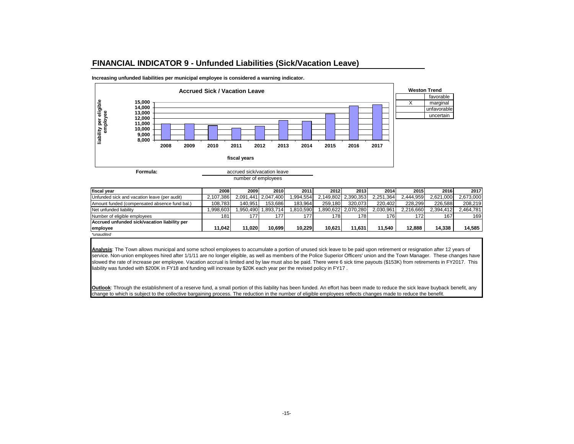#### **FINANCIAL INDICATOR 9 - Unfunded Liabilities (Sick/Vacation Leave)**





number of employees

| fiscal vear                                   | 2008      | 2009     | 2010                | 2011     | 2012    | 2013                | 2014      | 2015      | 2016      | 2017      |
|-----------------------------------------------|-----------|----------|---------------------|----------|---------|---------------------|-----------|-----------|-----------|-----------|
| Unfunded sick and vacation leave (per audit)  | 2.107.386 |          | 2.091.441 2.047.400 | .994.554 |         | 2.149.802 2.390.353 | 2.251.364 | 2.444.959 | 2,621,000 | 2.673.000 |
| Amount funded (compensated absence fund bal.) | 108.783   | 140.951  | 153.686             | 183.964  | 259.180 | 320.073             | 220.402   | 228.299   | 226.588   | 208.219   |
| Net unfunded liability                        | .998.603  | .950.490 | .893.714            | .810.590 |         | .890.622 2.070.280  | 2.030.961 | 2.216.660 | 2.394.412 | 2,464,781 |
| Number of eligible employees                  | 181       | 177      | 177.                | 177.     | 1781    | 178                 | 1761      | 172       | 167       | 169       |
| Accrued unfunded sick/vacation liability per  |           |          |                     |          |         |                     |           |           |           |           |
| employee                                      | 11.042    | 11,020   | 10.699              | 10.229   | 10.621  | 11.631              | 11.540    | 12.888    | 14.338    | 14,585    |
| *unaudited                                    |           |          |                     |          |         |                     |           |           |           |           |

**Analysis**: The Town allows municipal and some school employees to accumulate a portion of unused sick leave to be paid upon retirement or resignation after 12 years of service. Non-union employees hired after 1/1/11 are no longer eligible, as well as members of the Police Superior Officers' union and the Town Manager. These changes have slowed the rate of increase per employee. Vacation accrual is limited and by law must also be paid. There were 6 sick time payouts (\$153K) from retirements in FY2017. This liability was funded with \$200K in FY18 and funding will increase by \$20K each year per the revised policy in FY17 .

**Outlook**: Through the establishment of a reserve fund, a small portion of this liability has been funded. An effort has been made to reduce the sick leave buyback benefit, any change to which is subject to the collective bargaining process. The reduction in the number of eligible employees reflects changes made to reduce the benefit.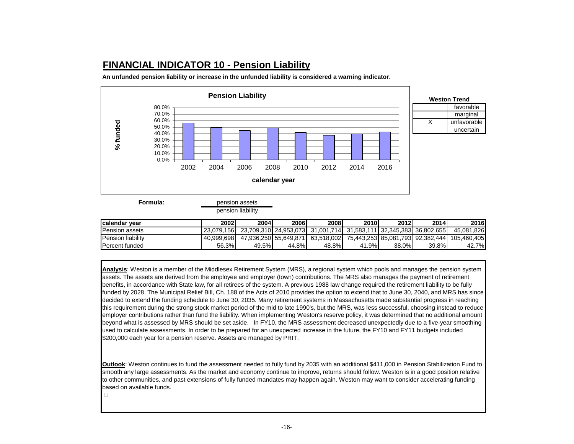# **FINANCIAL INDICATOR 10 - Pension Liability**

**An unfunded pension liability or increase in the unfunded liability is considered a warning indicator.**



pension liability

| <b>Icalendar vear</b>     | 2002       | 2004  | 2006  | 2008                                                              | 2010         | 2012     | 2014     | 2016                                         |
|---------------------------|------------|-------|-------|-------------------------------------------------------------------|--------------|----------|----------|----------------------------------------------|
| <b>Pension assets</b>     | 23.079.156 |       |       | 23.709.310 24.953.073 31.001.714 31.583.111 32.345.383 36.802.655 |              |          |          | 45.081.826                                   |
| <b>IPension liability</b> | 40.999.698 |       |       | 47.936.250 55.649.871 63.518.002                                  |              |          |          | 75.443.253 85.081.793 92.382.444 105.460.405 |
| <b>Percent funded</b>     | 56.3%l     | 49.5% | 44.8% | 48.8%                                                             | $.9\%$<br>41 | $38.0\%$ | $39.8\%$ | 42.7%                                        |

**Analysis**: Weston is a member of the Middlesex Retirement System (MRS), a regional system which pools and manages the pension system assets. The assets are derived from the employee and employer (town) contributions. The MRS also manages the payment of retirement benefits, in accordance with State law, for all retirees of the system. A previous 1988 law change required the retirement liability to be fully funded by 2028. The Municipal Relief Bill, Ch. 188 of the Acts of 2010 provides the option to extend that to June 30, 2040, and MRS has since decided to extend the funding schedule to June 30, 2035. Many retirement systems in Massachusetts made substantial progress in reaching this requirement during the strong stock market period of the mid to late 1990's, but the MRS, was less successful, choosing instead to reduce employer contributions rather than fund the liability. When implementing Weston's reserve policy, it was determined that no additional amount beyond what is assessed by MRS should be set aside. In FY10, the MRS assessment decreased unexpectedly due to a five-year smoothing used to calculate assessments. In order to be prepared for an unexpected increase in the future, the FY10 and FY11 budgets included \$200,000 each year for a pension reserve. Assets are managed by PRIT.

**Outlook**: Weston continues to fund the assessment needed to fully fund by 2035 with an additional \$411,000 in Pension Stabilization Fund to smooth any large assessments. As the market and economy continue to improve, returns should follow. Weston is in a good position relative to other communities, and past extensions of fully funded mandates may happen again. Weston may want to consider accelerating funding based on available funds.

 $\Box$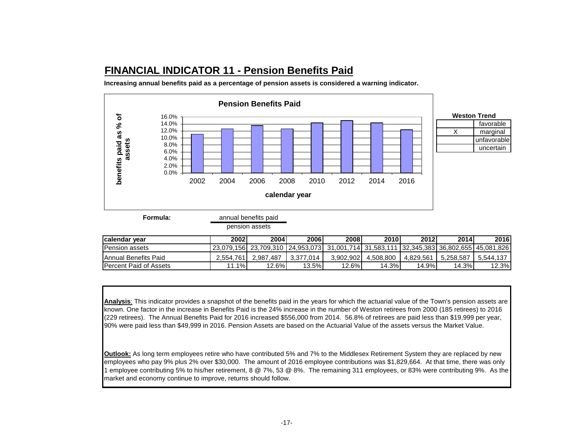# **FINANCIAL INDICATOR 11 - Pension Benefits Paid**

**Increasing annual benefits paid as a percentage of pension assets is considered a warning indicator.** 



**Formula:**

| iliual poliolito palu |  |  |
|-----------------------|--|--|
| pension assets        |  |  |
|                       |  |  |

| Icalendar vear                | 2002      | 2004                                                                                                | 2006      | 2008      | 2010      | 2012      | 2014      | 2016      |
|-------------------------------|-----------|-----------------------------------------------------------------------------------------------------|-----------|-----------|-----------|-----------|-----------|-----------|
| <b>Pension assets</b>         |           | l 23.079.156l_23.709.310 l 24.953.073l_31.001.714l_31.583.111 l 32.345.383l 36.802.655l 45.081.826l |           |           |           |           |           |           |
| IAnnual Benefits Paid         | 2.554.761 | 2.987.487                                                                                           | 3.377.014 | 3.902.902 | 4.508.800 | 4.829.561 | 5.258.587 | 5.544.137 |
| <b>Percent Paid of Assets</b> | $.1\%$    | 12.6%                                                                                               | $13.5\%$  | 12.6%     | 14.3%     | 14.9%     | 14.3%     | $12.3\%$  |

**Analysis**: This indicator provides a snapshot of the benefits paid in the years for which the actuarial value of the Town's pension assets are known. One factor in the increase in Benefits Paid is the 24% increase in the number of Weston retirees from 2000 (185 retirees) to 2016 (229 retirees). The Annual Benefits Paid for 2016 increased \$556,000 from 2014. 56.8% of retirees are paid less than \$19,999 per year, 90% were paid less than \$49,999 in 2016. Pension Assets are based on the Actuarial Value of the assets versus the Market Value.

**Outlook:** As long term employees retire who have contributed 5% and 7% to the Middlesex Retirement System they are replaced by new employees who pay 9% plus 2% over \$30,000. The amount of 2016 employee contributions was \$1,829,664. At that time, there was only 1 employee contributing 5% to his/her retirement, 8 @ 7%, 53 @ 8%. The remaining 311 employees, or 83% were contributing 9%. As the market and economy continue to improve, returns should follow.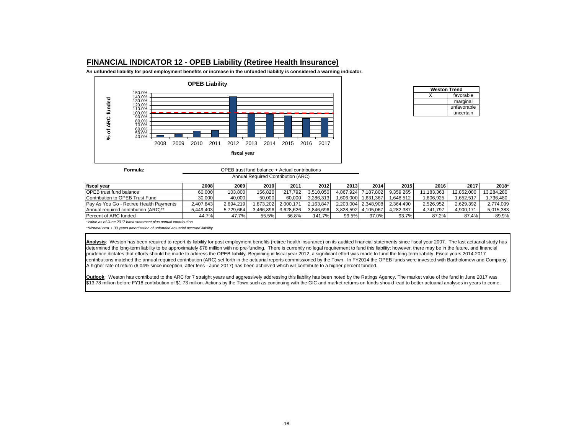#### **FINANCIAL INDICATOR 12 - OPEB Liability (Retiree Health Insurance)**

**An unfunded liability for post employment benefits or increase in the unfunded liability is considered a warning indicator.**



| <b>Weston Trend</b> |             |  |  |  |  |  |  |
|---------------------|-------------|--|--|--|--|--|--|
|                     | favorable   |  |  |  |  |  |  |
|                     | marginal    |  |  |  |  |  |  |
|                     | unfavorable |  |  |  |  |  |  |
|                     | uncertain   |  |  |  |  |  |  |

| Formula: | OPEB trust fund balance + Actual contributions |
|----------|------------------------------------------------|
|          | Annual Required Contribution (ARC)             |

| <b>Ifiscal vear</b>                     | 2008 l    | 2009.     | 2010      | 2011      | 2012      | 2013      | 2014                | 2015      | 2016       | 2017       | 2018*      |
|-----------------------------------------|-----------|-----------|-----------|-----------|-----------|-----------|---------------------|-----------|------------|------------|------------|
| <b>OPEB</b> trust fund balance          | 60.000    | 103.800   | 156.820   | 217.792   | 3.510.050 | 4.867.924 | 7.187.802           | 9.359.265 | 11.183.363 | 12.852.000 | 13.284.280 |
| Contribution to OPEB Trust Fund         | 30.000    | 40.000    | 50.000    | 60.000    | 3.286.313 | .606.000  | 1.631.367           | .648.512  | .606.925   | .652.517   | .736.480   |
| Pay As You Go - Retiree Health Payments | 2.407.843 | 2.694.219 | .873.202  | 2.000.171 | 2.163.847 |           | 2.203.004 2.348.908 | 2.364.490 | 2.526.952  | 2.629.392  | 2,774,009  |
| Annual required contribution (ARC)**    | 5.449.403 | 5.729.664 | 3.466.896 | 3.628.626 | 3.846.696 | 3.828.592 | 4.105.067           | 4.282.387 | 4.741.797  | 4.900.171  | 5,015,383  |
| Percent of ARC funded                   | 44.7%     | 47.7%     | 55.5%     | 56.8%     | 141.7%    | 99.5%     | 97.0%               | 93.7%     | 87.2%      | 87.4%      | 89.9%      |

*\*Value as of June 2017 bank statement plus annual contribution*

*\*\*Normal cost + 30 years amortization of unfunded actuarial accrued liability*

Analysis: Weston has been required to report its liability for post employment benefits (retiree health insurance) on its audited financial statements since fiscal year 2007. The last actuarial study has determined the long-term liability to be approximately \$78 million with no pre-funding. There is currently no legal requirement to fund this liability; however, there may be in the future, and financial prudence dictates that efforts should be made to address the OPEB liability. Beginning in fiscal year 2012, a significant effort was made to fund the long-term liability. Fiscal years 2014-2017 contributions matched the annual required contribution (ARC) set forth in the actuarial reports commissioned by the Town. In FY2014 the OPEB funds were invested with Bartholomew and Company. A higher rate of return (6.04% since inception, after fees - June 2017) has been achieved which will contribute to a higher percent funded.

**Outlook**: Weston has contributed to the ARC for 7 straight years and aggressively addressing this liability has been noted by the Ratings Agency. The market value of the fund in June 2017 was \$13.78 million before FY18 contribution of \$1.73 million. Actions by the Town such as continuing with the GIC and market returns on funds should lead to better actuarial analyses in years to come.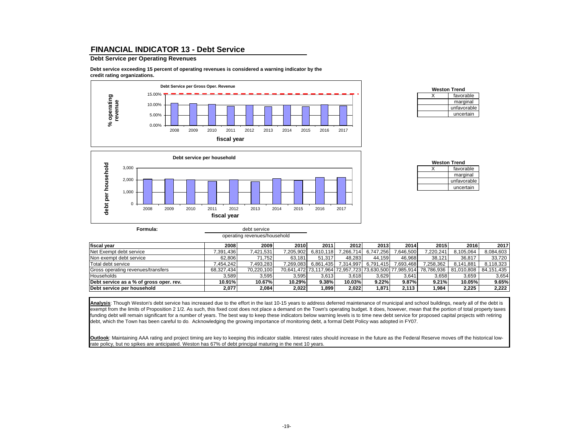#### **FINANCIAL INDICATOR 13 - Debt Service**

#### **Debt Service per Operating Revenues**

**Debt service exceeding 15 percent of operating revenues is considered a warning indicator by the credit rating organizations.**



| <b>Weston Trend</b> |             |  |  |  |  |  |  |  |
|---------------------|-------------|--|--|--|--|--|--|--|
|                     | favorable   |  |  |  |  |  |  |  |
|                     | marginal    |  |  |  |  |  |  |  |
|                     | unfavorable |  |  |  |  |  |  |  |
|                     | uncertain   |  |  |  |  |  |  |  |



operating revenues/household

| <b>Weston Trend</b> |             |  |  |  |  |  |  |  |
|---------------------|-------------|--|--|--|--|--|--|--|
|                     | favorable   |  |  |  |  |  |  |  |
|                     | marginal    |  |  |  |  |  |  |  |
|                     | unfavorable |  |  |  |  |  |  |  |
|                     | uncertain   |  |  |  |  |  |  |  |

| fiscal year                             | 2008       | 2009       | 2010      | 2011                                                   | 2012      | 2013      | 2014      | 2015       | 2016       | 2017       |
|-----------------------------------------|------------|------------|-----------|--------------------------------------------------------|-----------|-----------|-----------|------------|------------|------------|
| Net Exempt debt service                 | .391.436   | 7,421,531  | 7,205,902 | 6,810,118                                              | 7,266,714 | 6,747,256 | 7.646.500 | 7.220.241  | 8,105,064  | 8,084,603  |
| Non exempt debt service                 | 62.806     | 71.752     | 63.181    | 51.317                                                 | 48.283    | 44.159    | 46.968    | 38.121     | 36.817     | 33,720     |
| Total debt service                      | .454.242   | 7.493.283  | 7,269,083 | 6.861.435                                              | 7.314.997 | 6.791.415 | 7.693.468 | 7,258,362  | 8,141,881  | 8,118,323  |
| Gross operating revenues/transfers      | 68.327.434 | 70,220,100 |           | 70,641,472 73,117,964 72,957,723 73,630,500 77,985,914 |           |           |           | 78.786.936 | 81.010.808 | 84.151.435 |
| <b>Households</b>                       | 3.589      | 3.595      | 3.595     | 3.613                                                  | 3.618     | 3.629     | 3.641     | 3.658      | 3.659      | 3,654      |
| Debt service as a % of gross oper. rev. | 10.91%     | 10.67%     | 10.29%    | $9.38\%$                                               | 10.03%    | 9.22%     | 9.87%     | 9.21%      | 10.05%     | 9.65%      |
| Debt service per household              | 2,077      | 2,084      | 2,022     | ,899                                                   | 2,022     | .871.     | 2.113     | 984, ا     | 2,225      | 2,222      |

Analysis: Though Weston's debt service has increased due to the effort in the last 10-15 years to address deferred maintenance of municipal and school buildings, nearly all of the debt is exempt from the limits of Proposition 2 1/2. As such, this fixed cost does not place a demand on the Town's operating budget. It does, however, mean that the portion of total property taxes funding debt will remain significant for a number of years. The best way to keep these indicators below warning levels is to time new debt service for proposed capital projects with retiring debt, which the Town has been careful to do*.* Acknowledging the growing importance of monitoring debt, a formal Debt Policy was adopted in FY07.

**Outlook**: Maintaining AAA rating and project timing are key to keeping this indicator stable. Interest rates should increase in the future as the Federal Reserve moves off the historical lowrate policy, but no spikes are anticipated. Weston has 67% of debt principal maturing in the next 10 years.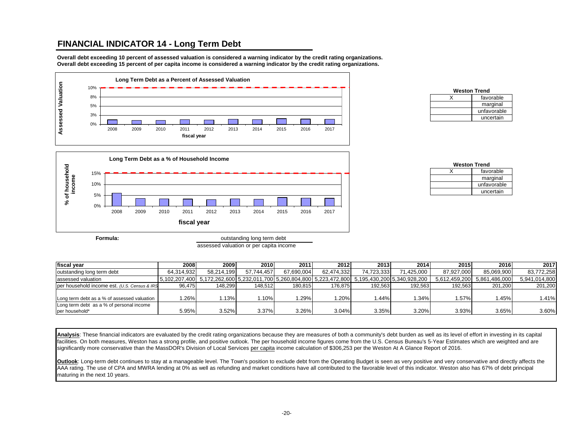## **FINANCIAL INDICATOR 14 - Long Term Debt**

**Overall debt exceeding 10 percent of assessed valuation is considered a warning indicator by the credit rating organizations. Overall debt exceeding 15 percent of per capita income is considered a warning indicator by the credit rating organizations.**



| <b>Weston Trend</b> |             |  |  |  |  |  |  |  |  |
|---------------------|-------------|--|--|--|--|--|--|--|--|
|                     | favorable   |  |  |  |  |  |  |  |  |
|                     | marginal    |  |  |  |  |  |  |  |  |
|                     | unfavorable |  |  |  |  |  |  |  |  |
|                     | uncertain   |  |  |  |  |  |  |  |  |



assessed valuation or per capita income

| <b>Weston Trend</b> |             |  |  |  |  |  |  |  |  |
|---------------------|-------------|--|--|--|--|--|--|--|--|
|                     | favorable   |  |  |  |  |  |  |  |  |
|                     | marginal    |  |  |  |  |  |  |  |  |
|                     | unfavorable |  |  |  |  |  |  |  |  |
|                     | uncertain   |  |  |  |  |  |  |  |  |

| fiscal vear                                  | 2008       | 2009       | 2010       | 2011       | 2012       | 2013        | 2014                                                                                                | 2015       | 2016                        | 2017          |
|----------------------------------------------|------------|------------|------------|------------|------------|-------------|-----------------------------------------------------------------------------------------------------|------------|-----------------------------|---------------|
| outstanding long term debt                   | 64.314.932 | 58.214.199 | 57.744.457 | 67.690.004 | 62.474.332 | 74.723.3331 | 71.425.000                                                                                          | 87.927.000 | 85.069.900                  | 83.772.258    |
| assessed valuation                           |            |            |            |            |            |             | [5,102,207,400] 5,172,262,600 5,232,011,700 5,260,804,800 5,223,472,800 5,195,430,200 5,340,928,200 |            | 5.612.459.200 5.861.486.000 | 5,941,014,800 |
| per household income est. (U.S. Census & IRS | 96.475     | 148.299    | 148.512    | 180.815    | 176.875    | 192.563     | 192.563                                                                                             | 192.563    | 201.200                     | 201.200       |
| Long term debt as a % of assessed valuation  | .26%       | .13%       | .10%       | .29%       | $1.20\%$   | 1.44%       | 1.34%                                                                                               | .57%       | 1.45%                       | 1.41%         |
| Long term debt as a % of personal income     |            |            |            |            |            |             |                                                                                                     |            |                             |               |
| per household*                               | 5.95%      | 3.52%      | 3.37%      | 3.26%      | 3.04%      | 3.35%       | 3.20%                                                                                               | 3.93%      | 3.65%                       | 3.60%         |

**Analysis**: These financial indicators are evaluated by the credit rating organizations because they are measures of both a community's debt burden as well as its level of effort in investing in its capital facilities. On both measures, Weston has a strong profile, and positive outlook. The per household income figures come from the U.S. Census Bureau's 5-Year Estimates which are weighted and are significantly more conservative than the MassDOR's Division of Local Services per capita income calculation of \$306,253 per the Weston At A Glance Report of 2016.

**Outlook**: Long-term debt continues to stay at a manageable level. The Town's position to exclude debt from the Operating Budget is seen as very positive and very conservative and directly affects the AAA rating. The use of CPA and MWRA lending at 0% as well as refunding and market conditions have all contributed to the favorable level of this indicator. Weston also has 67% of debt principal maturing in the next 10 years.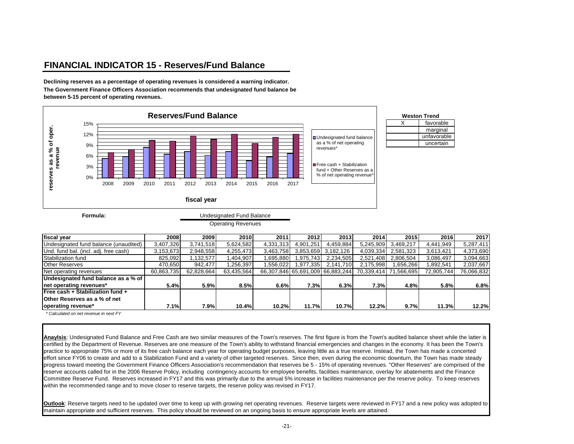# **FINANCIAL INDICATOR 15 - Reserves/Fund Balance**

**Declining reserves as a percentage of operating revenues is considered a warning indicator. The Government Finance Officers Association recommends that undesignated fund balance be between 5-15 percent of operating revenues.**



**Formula:**

Operating Revenues

| 2008                                | 2009       | 2010       | 2011      | 2012                                    |                                                   | 2014                                        | 2015                                                                   | 2016                                                                                               | 2017          |
|-------------------------------------|------------|------------|-----------|-----------------------------------------|---------------------------------------------------|---------------------------------------------|------------------------------------------------------------------------|----------------------------------------------------------------------------------------------------|---------------|
| 3,407,326                           | 3.741.518  |            | 4,331,313 | 4,901,251                               | 4,459,884                                         |                                             | 3,469,217                                                              | 4,441,949                                                                                          | 5,287,411     |
| 3,153,673                           | 2,948,558  |            |           |                                         |                                                   |                                             | 2,581,323                                                              | 3.613.421                                                                                          | 4,373,690     |
| 825,092                             | 1,132,577  | 1,404,907  |           |                                         |                                                   |                                             | 2,806,504                                                              | 3,086,497                                                                                          | 3,094,663     |
| 470.650                             | 942,477    | 1,256,397  |           |                                         | 2,141,710                                         |                                             | 1,656,266                                                              | 892,541                                                                                            | 2,037,667     |
| 60,863,735                          | 62,828,664 | 63,435,564 |           |                                         |                                                   |                                             |                                                                        | 72,905,744                                                                                         | 76,066,832    |
| Undesignated fund balance as a % of |            |            |           |                                         |                                                   |                                             |                                                                        |                                                                                                    |               |
| 5.4%                                | 5.9%       |            |           | 7.3%                                    |                                                   |                                             |                                                                        |                                                                                                    | 6.8%          |
|                                     |            |            |           |                                         |                                                   |                                             |                                                                        |                                                                                                    |               |
|                                     |            |            |           |                                         |                                                   |                                             |                                                                        |                                                                                                    |               |
| 7.1%                                | 7.9%       |            |           | 11.7%                                   |                                                   |                                             | 9.7%                                                                   |                                                                                                    | 12.2%         |
|                                     |            |            |           | 5,624,582<br>4,255,473<br>8.5%<br>10.4% | 3,463,758<br>.695,880<br>556,022<br>6.6%<br>10.2% | 3.853.659 3.182.126<br>.975,743<br>.977.335 | 2013<br>2,234,505<br>66,307,846 65,691,009 66,883,244<br>6.3%<br>10.7% | 5,245,909<br>4,039,334<br>2,521,408<br>2,175,998<br>70,339,414 71,566,695<br>7.3%<br>4.8%<br>12.2% | 5.8%<br>11.3% |

 *\* Calculated on net revenue in next FY*

Anaylsis: Undesignated Fund Balance and Free Cash are two similar measures of the Town's reserves. The first figure is from the Town's audited balance sheet while the latter is certified by the Department of Revenue. Reserves are one measure of the Town's ability to withstand financial emergencies and changes in the economy. It has been the Town's practice to appropriate 75% or more of its free cash balance each year for operating budget purposes, leaving little as a true reserve. Instead, the Town has made a concerted effort since FY06 to create and add to a Stabilization Fund and a variety of other targeted reserves. Since then, even during the economic downturn, the Town has made steady progress toward meeting the Government Finance Officers Association's recommendation that reserves be 5 - 15% of operating revenues. "Other Reserves" are comprised of the reserve accounts called for in the 2006 Reserve Policy, including contingency accounts for employee benefits, facilities maintenance, overlay for abatements and the Finance Committee Reserve Fund. Reserves increased in FY17 and this was primarily due to the annual 5% increase in facilities maintenance per the reserve policy. To keep reserves within the recommended range and to move closer to reserve targets, the reserve policy was revised in FY17.

**Outlook**: Reserve targets need to be updated over time to keep up with growing net operating revenues. Reserve targets were reviewed in FY17 and a new policy was adopted to maintain appropriate and sufficient reserves. This policy should be reviewed on an ongoing basis to ensure appropriate levels are attained.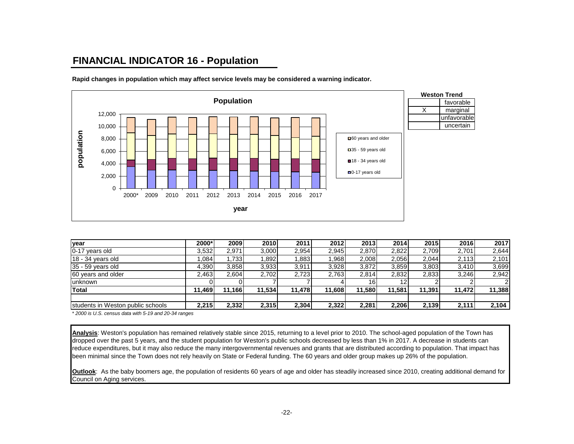# **FINANCIAL INDICATOR 16 - Population**



**Rapid changes in population which may affect service levels may be considered a warning indicator.**

| year                              | 2000*  | 2009   | 2010   | 2011   | 2012    | 2013   | 2014   | 2015   | 2016   | 2017   |
|-----------------------------------|--------|--------|--------|--------|---------|--------|--------|--------|--------|--------|
| 0-17 years old                    | 3,532  | 2,971  | 3,000  | 2,954  | 2,945   | 2,870  | 2,822  | 2,709  | 2,701  | 2,644  |
| $18 - 34$ years old               | .084   | ,733   | 1.892  | 883.   | .968    | 2.008  | 2.056  | 2,044  | 2,113  | 2,101  |
| 35 - 59 years old                 | 4,390  | 3,858  | 3,933  | 3,911  | 3,928   | 3,872  | 3,859  | 3,803  | 3,410  | 3,699  |
| 60 years and older                | 2,463  | 2.604  | 2,702  | 2.723  | 2,763   | 2.814  | 2,832  | 2,833  | 3,246  | 2,942  |
| <b>lunknown</b>                   |        |        |        |        |         |        |        |        |        |        |
| <b>Total</b>                      | 11,469 | 11,166 | 11,534 | 11.478 | 11,608) | 11.580 | 11.581 | 11,391 | 11,472 | 11,388 |
|                                   |        |        |        |        |         |        |        |        |        |        |
| students in Weston public schools | 2,215  | 2,332  | 2,315  | 2,304  | 2,322   | 2,281  | 2,206  | 2,139  | 2,111  | 2,104  |

*\* 2000 is U.S. census data with 5-19 and 20-34 ranges*

**Analysis**: Weston's population has remained relatively stable since 2015, returning to a level prior to 2010. The school-aged population of the Town has dropped over the past 5 years, and the student population for Weston's public schools decreased by less than 1% in 2017. A decrease in students can reduce expenditures, but it may also reduce the many intergovernmental revenues and grants that are distributed according to population. That impact has been minimal since the Town does not rely heavily on State or Federal funding. The 60 years and older group makes up 26% of the population.

**Outlook**: As the baby boomers age, the population of residents 60 years of age and older has steadily increased since 2010, creating additional demand for Council on Aging services.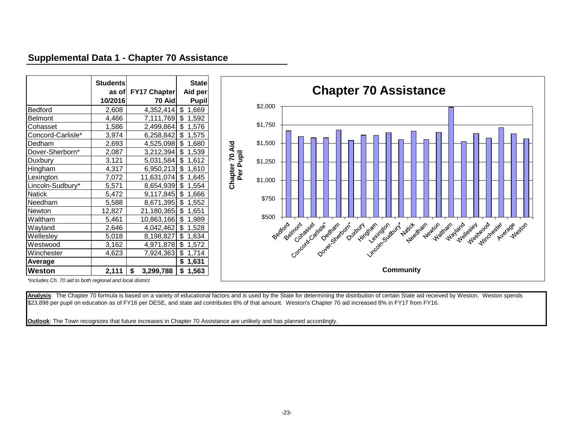## **Supplemental Data 1 - Chapter 70 Assistance**

|                   | <b>Students</b><br>as ofl | FY17 Chapter    | <b>State</b><br>Aid per |
|-------------------|---------------------------|-----------------|-------------------------|
|                   | 10/2016                   | 70 Aid          | <b>Pupil</b>            |
| Bedford           | 2,608                     | 4,352,414       | \$<br>1,669             |
| <b>Belmont</b>    | 4,466                     | 7,111,769       | \$<br>1,592             |
| Cohasset          | 1,586                     | 2,499,864       | \$<br>1,576             |
| Concord-Carlisle* | 3,974                     | 6,258,842       | \$<br>1,575             |
| Dedham            | 2,693                     | 4,525,098       | \$<br>1,680             |
| Dover-Sherborn*   | 2,087                     | 3,212,394       | \$<br>1,539             |
| Duxbury           | 3,121                     | 5,031,584       | \$<br>1,612             |
| Hingham           | 4,317                     | 6,950,213       | \$<br>1,610             |
| Lexington         | 7,072                     | 11,631,074      | \$<br>1,645             |
| Lincoln-Sudbury*  | 5,571                     | 8,654,939       | \$<br>1,554             |
| <b>Natick</b>     | 5,472                     | 9,117,845       | \$<br>1,666             |
| Needham           | 5,588                     | 8,671,395       | \$<br>1,552             |
| Newton            | 12,827                    | 21,180,365      | \$<br>1,651             |
| Waltham           | 5,461                     | 10,863,166      | \$<br>1,989             |
| Wayland           | 2,646                     | 4,042,462       | \$<br>1,528             |
| Wellesley         | 5,018                     | 8,198,827       | \$<br>1,634             |
| Westwood          | 3,162                     | 4,971,878       | \$<br>1,572             |
| Winchester        | 4,623                     | 7,924,363       | \$<br>1,714             |
| Average           |                           |                 | \$<br>1,631             |
| Weston            | 2,111                     | \$<br>3,299,788 | \$<br>1,563             |



*\*includes Ch. 70 aid to both regional and local district* 

Analysis: The Chapter 70 formula is based on a variety of educational factors and is used by the State for determining the distribution of certain State aid received by Weston. Weston spends \$23,898 per pupil on education as of FY16 per DESE, and state aid contributes 6% of that amount. Weston's Chapter 70 aid increased 8% in FY17 from FY16.

**Outlook**: The Town recognizes that future increases in Chapter 70 Assistance are unlikely and has planned accordingly.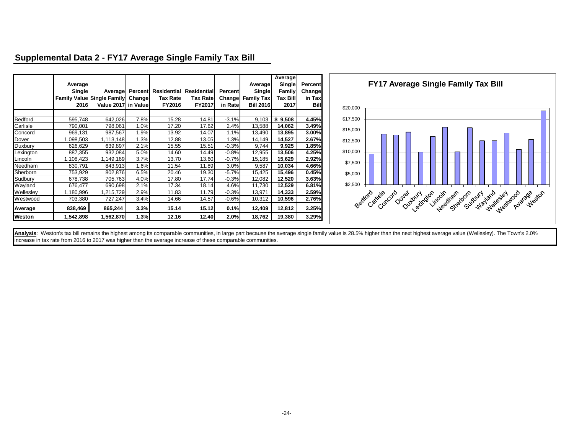|                | Average<br>Single<br>2016 | Average<br>Family Value Single Family Change<br>Value 2017 in Value |      | <b>Percent</b> Residential Residential<br><b>Tax Rate</b><br><b>FY2016</b> | Tax Rate<br>FY2017 | <b>Percent</b><br>Changel<br>in Ratel | Average<br>Single<br><b>Family Tax</b><br><b>Bill 2016</b> | Average<br>Single<br><b>Family</b><br>Tax Bill <br>2017 | <b>Percent</b><br>Change<br>in Tax<br><b>Bill</b> |          | <b>FY17 Average Single Family Tax Bill</b>                                       |
|----------------|---------------------------|---------------------------------------------------------------------|------|----------------------------------------------------------------------------|--------------------|---------------------------------------|------------------------------------------------------------|---------------------------------------------------------|---------------------------------------------------|----------|----------------------------------------------------------------------------------|
|                |                           |                                                                     |      |                                                                            |                    |                                       |                                                            |                                                         |                                                   | \$20,000 |                                                                                  |
| <b>Bedford</b> | 595,748                   | 642,026                                                             | 7.8% | 15.28                                                                      | 14.81              | $-3.1%$                               | 9,103                                                      | \$9,508                                                 | 4.45%                                             | \$17,500 |                                                                                  |
| Carlisle       | 790,001                   | 798,061                                                             | 1.0% | 17.20                                                                      | 17.62              | 2.4%                                  | 13,588                                                     | 14,062                                                  | 3.49%                                             |          |                                                                                  |
| Concord        | 969,131                   | 987,567                                                             | 1.9% | 13.92                                                                      | 14.07              | 1.1%                                  | 13,490                                                     | 13,895                                                  | 3.00%                                             | \$15,000 |                                                                                  |
| Dover          | ,098,503                  | 113,148                                                             | 1.3% | 12.88                                                                      | 13.05              | 1.3%                                  | 14,149                                                     | 14,527                                                  | 2.67%                                             | \$12,500 |                                                                                  |
| Duxbury        | 626,629                   | 639,897                                                             | 2.1% | 15.55                                                                      | 15.51              | $-0.3%$                               | 9,744                                                      | 9,925                                                   | 1.85%                                             |          |                                                                                  |
| Lexington      | 887,355                   | 932,084                                                             | 5.0% | 14.60                                                                      | 14.49              | $-0.8%$                               | 12,955                                                     | 13,506                                                  | 4.25%                                             | \$10,000 |                                                                                  |
| Lincoln        | ,108,423                  | ,149,169                                                            | 3.7% | 13.70                                                                      | 13.60              | $-0.7%$                               | 15,185                                                     | 15,629                                                  | 2.92%                                             | \$7,500  |                                                                                  |
| Needham        | 830,791                   | 843,913                                                             | 1.6% | 11.54                                                                      | 11.89              | 3.0%                                  | 9,587                                                      | 10,034                                                  | 4.66%                                             |          |                                                                                  |
| Sherborn       | 753,929                   | 802,876                                                             | 6.5% | 20.46                                                                      | 19.30              | $-5.7%$                               | 15,425                                                     | 15,496                                                  | 0.45%                                             | \$5,000  |                                                                                  |
| Sudbury        | 678,738                   | 705,763                                                             | 4.0% | 17.80                                                                      | 17.74              | $-0.3%$                               | 12,082                                                     | 12,520                                                  | 3.63%                                             |          |                                                                                  |
| Wayland        | 676,477                   | 690,698                                                             | 2.1% | 17.34                                                                      | 18.14              | 4.6%                                  | 11,730                                                     | 12,529                                                  | 6.81%                                             | \$2,500  |                                                                                  |
| Wellesley      | ,180,996                  | ,215,729                                                            | 2.9% | 11.83                                                                      | 11.79              | $-0.3%$                               | 13,971                                                     | 14,333                                                  | 2.59%                                             |          |                                                                                  |
| Westwood       | 703,380                   | 727,247                                                             | 3.4% | 14.66                                                                      | 14.57              | $-0.6%$                               | 10,312                                                     | 10,596                                                  | 2.76%                                             |          |                                                                                  |
| Average        | 838,469                   | 865,244                                                             | 3.3% | 15.14                                                                      | 15.12              | 0.1%                                  | 12,409                                                     | 12,812                                                  | 3.25%                                             |          | vo overland victor de skar son da da de skar bas da skar<br>Bedrord Carisle cord |
| Weston         | 1,542,898                 | 562,870,                                                            | 1.3% | 12.16                                                                      | 12.40              | 2.0%                                  | 18,762                                                     | 19,380                                                  | 3.29%                                             |          |                                                                                  |

# **Supplemental Data 2 - FY17 Average Single Family Tax Bill**

Analysis: Weston's tax bill remains the highest among its comparable communities, in large part because the average single family value is 28.5% higher than the next highest average value (Wellesley). The Town's 2.0% increase in tax rate from 2016 to 2017 was higher than the average increase of these comparable communities.